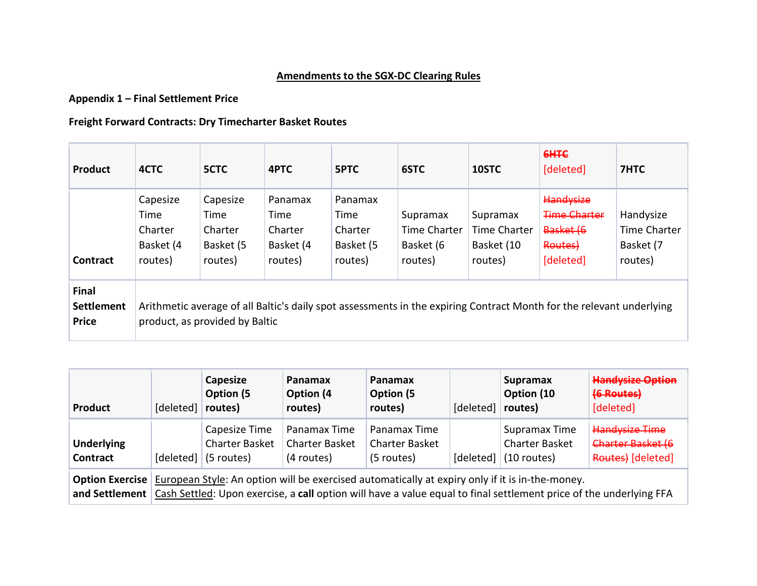## Amendments to the SGX-DC Clearing Rules

## Appendix 1 – Final Settlement Price

## Freight Forward Contracts: Dry Timecharter Basket Routes

| Product                                    | 4CTC                                                                                                                                                   | 5CTC                                                | 4PTC                                               | <b>SPTC</b>                                        | 6STC                                             | 10STC                                             | 6H <sub>TC</sub><br>[deleted]                                         | 7HTC                                              |  |  |  |
|--------------------------------------------|--------------------------------------------------------------------------------------------------------------------------------------------------------|-----------------------------------------------------|----------------------------------------------------|----------------------------------------------------|--------------------------------------------------|---------------------------------------------------|-----------------------------------------------------------------------|---------------------------------------------------|--|--|--|
| <b>Contract</b>                            | Capesize<br>Time<br>Charter<br>Basket (4<br>routes)                                                                                                    | Capesize<br>Time<br>Charter<br>Basket (5<br>routes) | Panamax<br>Time<br>Charter<br>Basket (4<br>routes) | Panamax<br>Time<br>Charter<br>Basket (5<br>routes) | Supramax<br>Time Charter<br>Basket (6<br>routes) | Supramax<br>Time Charter<br>Basket (10<br>routes) | Handysize<br><b>Time Charter</b><br>Basket (6<br>Routes)<br>[deleted] | Handysize<br>Time Charter<br>Basket (7<br>routes) |  |  |  |
| Final<br><b>Settlement</b><br><b>Price</b> | Arithmetic average of all Baltic's daily spot assessments in the expiring Contract Month for the relevant underlying<br>product, as provided by Baltic |                                                     |                                                    |                                                    |                                                  |                                                   |                                                                       |                                                   |  |  |  |

| Product                       | [deleted]                                                                                                                                                                                                                                    | Capesize<br>Option (5<br>routes)                     | Panamax<br>Option (4<br>routes)                     | Panamax<br>Option (5)<br>routes)                    | [deleted] | <b>Supramax</b><br>Option (10<br>routes)                | <b>Handysize Option</b><br>(6 Routes)<br>[deleted]              |  |  |
|-------------------------------|----------------------------------------------------------------------------------------------------------------------------------------------------------------------------------------------------------------------------------------------|------------------------------------------------------|-----------------------------------------------------|-----------------------------------------------------|-----------|---------------------------------------------------------|-----------------------------------------------------------------|--|--|
| <b>Underlying</b><br>Contract | [deleted]                                                                                                                                                                                                                                    | Capesize Time<br><b>Charter Basket</b><br>(5 routes) | Panamax Time<br><b>Charter Basket</b><br>(4 routes) | Panamax Time<br><b>Charter Basket</b><br>(5 routes) | [deleted] | Supramax Time<br><b>Charter Basket</b><br>$(10$ routes) | <b>Handysize Time</b><br>Charter Basket (6<br>Routes) [deleted] |  |  |
| and Settlement                | <b>Option Exercise</b> European Style: An option will be exercised automatically at expiry only if it is in-the-money.<br>Cash Settled: Upon exercise, a call option will have a value equal to final settlement price of the underlying FFA |                                                      |                                                     |                                                     |           |                                                         |                                                                 |  |  |